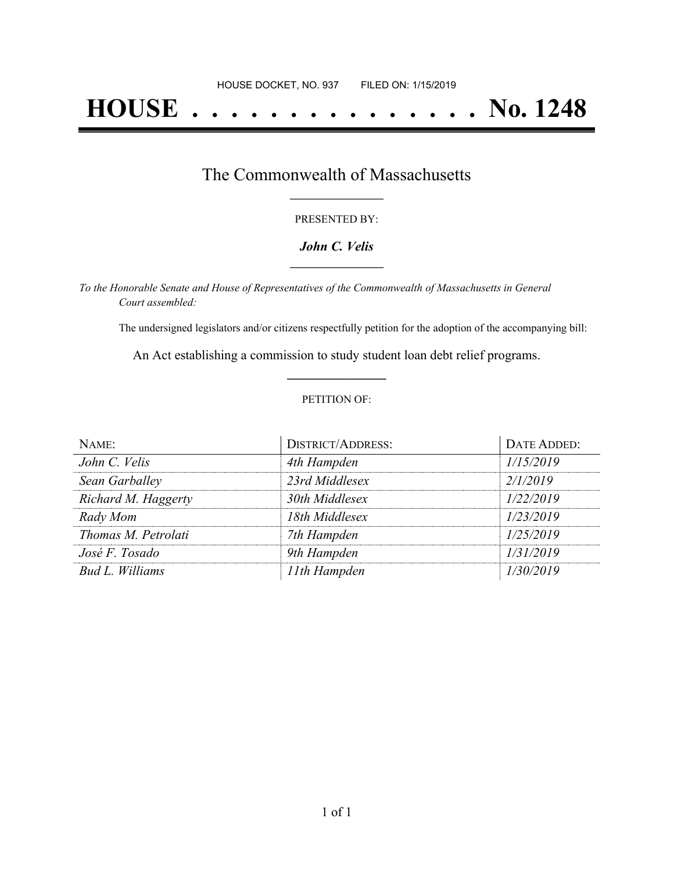# **HOUSE . . . . . . . . . . . . . . . No. 1248**

## The Commonwealth of Massachusetts **\_\_\_\_\_\_\_\_\_\_\_\_\_\_\_\_\_**

#### PRESENTED BY:

#### *John C. Velis* **\_\_\_\_\_\_\_\_\_\_\_\_\_\_\_\_\_**

*To the Honorable Senate and House of Representatives of the Commonwealth of Massachusetts in General Court assembled:*

The undersigned legislators and/or citizens respectfully petition for the adoption of the accompanying bill:

An Act establishing a commission to study student loan debt relief programs. **\_\_\_\_\_\_\_\_\_\_\_\_\_\_\_**

#### PETITION OF:

| NAME:               | <b>DISTRICT/ADDRESS:</b> | DATE ADDED: |
|---------------------|--------------------------|-------------|
| John C. Velis       | 4th Hampden              | 1/15/2019   |
| Sean Garballey      | 23rd Middlesex           | 2/1/2019    |
| Richard M. Haggerty | 30th Middlesex           | 1/22/2019   |
| Rady Mom            | 18th Middlesex           | 1/23/2019   |
| Thomas M. Petrolati | 7th Hampden              | 1/25/2019   |
| José F. Tosado      | 9th Hampden              | 1/31/2019   |
| Bud L. Williams     | 11th Hampden             | 1/30/2019   |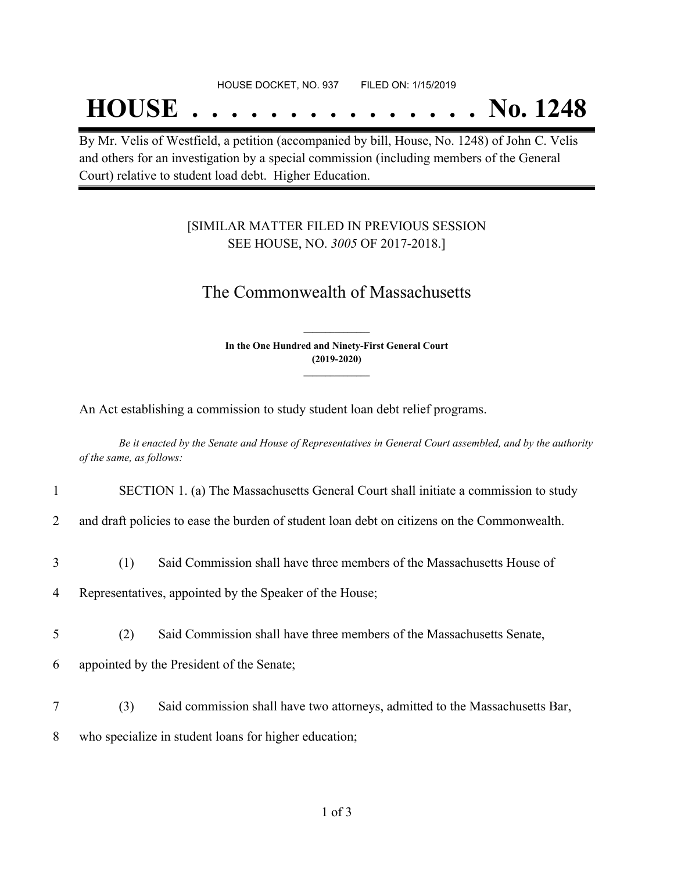## **HOUSE . . . . . . . . . . . . . . . No. 1248**

By Mr. Velis of Westfield, a petition (accompanied by bill, House, No. 1248) of John C. Velis and others for an investigation by a special commission (including members of the General Court) relative to student load debt. Higher Education.

### [SIMILAR MATTER FILED IN PREVIOUS SESSION SEE HOUSE, NO. *3005* OF 2017-2018.]

## The Commonwealth of Massachusetts

**In the One Hundred and Ninety-First General Court (2019-2020) \_\_\_\_\_\_\_\_\_\_\_\_\_\_\_**

**\_\_\_\_\_\_\_\_\_\_\_\_\_\_\_**

An Act establishing a commission to study student loan debt relief programs.

Be it enacted by the Senate and House of Representatives in General Court assembled, and by the authority *of the same, as follows:*

1 SECTION 1. (a) The Massachusetts General Court shall initiate a commission to study

2 and draft policies to ease the burden of student loan debt on citizens on the Commonwealth.

3 (1) Said Commission shall have three members of the Massachusetts House of

4 Representatives, appointed by the Speaker of the House;

- 5 (2) Said Commission shall have three members of the Massachusetts Senate,
- 6 appointed by the President of the Senate;
- 7 (3) Said commission shall have two attorneys, admitted to the Massachusetts Bar,
- 8 who specialize in student loans for higher education;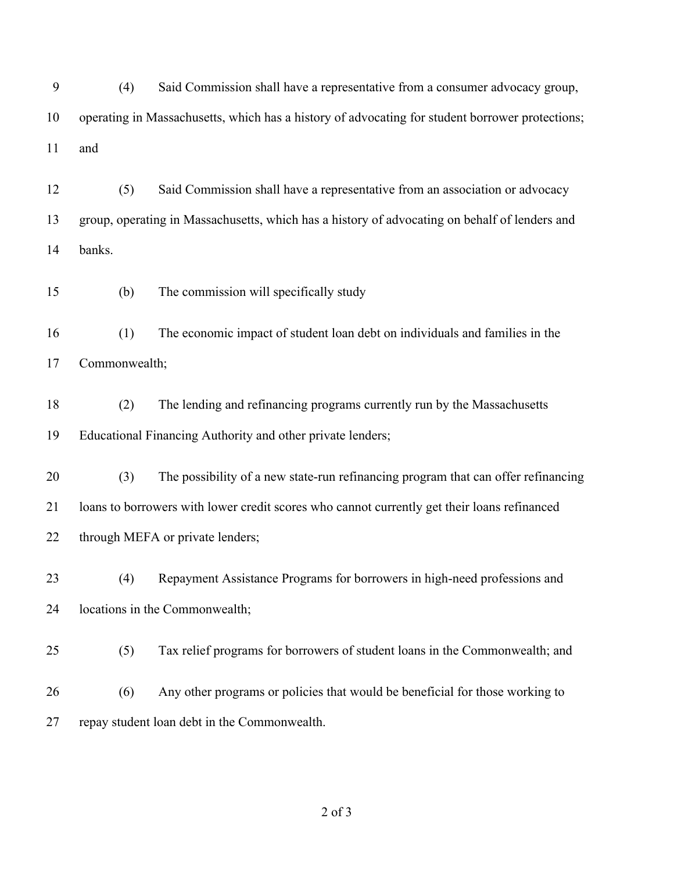(4) Said Commission shall have a representative from a consumer advocacy group, operating in Massachusetts, which has a history of advocating for student borrower protections; and

 (5) Said Commission shall have a representative from an association or advocacy group, operating in Massachusetts, which has a history of advocating on behalf of lenders and banks.

(b) The commission will specifically study

 (1) The economic impact of student loan debt on individuals and families in the Commonwealth;

 (2) The lending and refinancing programs currently run by the Massachusetts Educational Financing Authority and other private lenders;

 (3) The possibility of a new state-run refinancing program that can offer refinancing loans to borrowers with lower credit scores who cannot currently get their loans refinanced 22 through MEFA or private lenders;

 (4) Repayment Assistance Programs for borrowers in high-need professions and locations in the Commonwealth;

(5) Tax relief programs for borrowers of student loans in the Commonwealth; and

 (6) Any other programs or policies that would be beneficial for those working to repay student loan debt in the Commonwealth.

of 3